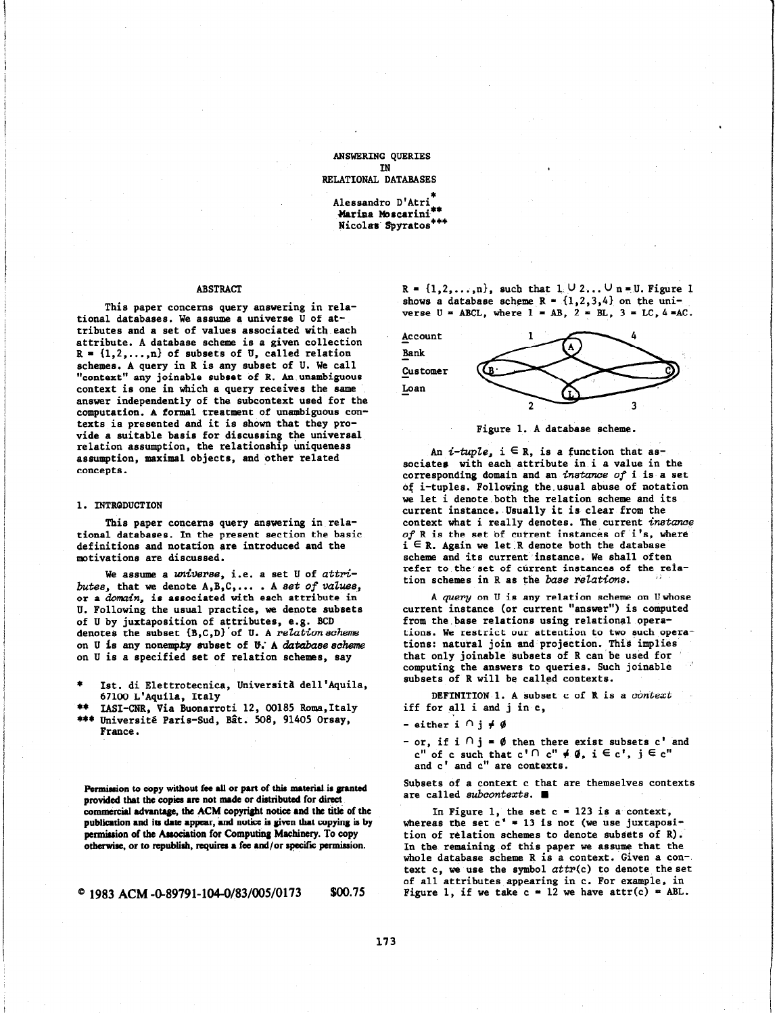ANSWERING QUERIES IN RELATIONAL DATABASES

> Alessandro D'Atri\* Marina Moscarin Nicolas Spyratos<sup>\*\*\*</sup>

## ABSTRACT

This paper concerns query answering in relational databases. We assume a universe U of attributes and a set of values associated with each attribute. A database scheme is a given collection  $R = \{1, 2, ..., n\}$  of subsets of U, called relation schemes. A query in R is any subset of U. We call "context" any joineble subset of R. An unambiguous context is one in which a query receives the same answer independently of the subcontext used for the computation. A formal treatment of unambiguous contexts is presented and it is shown that they provide a suitable basis for discussing the universal relation assumption, the relationship uniqueness assumption, maximal objects, and other related concepts.

# 1. INTRQDUCTION

This paper concerns query answering in relational databases. In the present section the basic definitions and notation are introduced and the motivations are discussed.

We assume a universe, i.e. a set U of  $attri$ butes, that we denote  $A, B, C, \ldots$ . A set of values, or a domain, is associated with each attribute in U. Following the usual practice, we denote subsets of U by juxtaposition of attributes, e.g. BCD denotes the subset  $\{B,C,D\}$  of U. A relation scheme on U is any nonempty subset of U. A database scheme on U is a specified set of relation schemes, say

Ist. di Elettrotecnica, Università dell'Aquila, 67100 L'Aquila, Italy

\*\* IASI-CNR, Via Buonarroti 12, 00185 Roma, Italy \*\*\* Université Paris-Sud, Bât. 508, 91405 Orsay, France.

Permission to copy without fee all or part of this material is granted provided that the copies are not made or distributed for direct commercial advantage, the ACM copyright notice and the title of the publication and its date appear, and notice is given that copying is by permission of the Association for Computing Machinery. To copy otherwise, or to republish, requires a fee and/or specific permission.

$$
^{\circ}
$$
 1983 ACM -0-89791-104-0/83/005/0173 \$00.75

 $R = \{1, 2, ..., n\}$ , such that  $1 \cup 2... \cup n = U$ . Figure 1 shows a database scheme  $R = \{1, 2, 3, 4\}$  on the universe  $U = ABCL$ , where  $1 = AB$ ,  $2 = BL$ ,  $3 = LC$ ,  $4 = AC$ .



Figure 1. A database scheme.

An *i-tuple*,  $i \in R$ , is a function that associates with each attribute in i a value in the corresponding domain and an instance of i is a set of i-tuples. Following the.usual abuse of notation we let i denote.both the relation scheme and its current instance. Usually it is clear from the context what i really denotes. The current instance of R is the set of current instances of i's, where  $i \in R$ . Again we let R denote both the database scheme and its current instance. We shall often refer to the set of current instances of the relation schemes in R as the base relations.

A query on U is any relation scheme on Uwhose current instance (or current "answer") is computed from the.base relations using relational operations. We restrict our attention to two such operations: natural join and projection. This implies that only joinable subsets of R can be used for computing the answers to queries. Such joinable subsets of R will be called contexts.

DEFINITION 1. A subset c of  $R$  is a context iff for all i and j in c,

 $-$  either  $i \cap i \neq \emptyset$ 

- or, if  $i \cap j = \emptyset$  then there exist subsets c' and c" of c such that c' $\cap$  c"  $\neq \emptyset$ ,  $i \in c$ ",  $j \in c$ " and c' and c" are contexts .

Subsets of a context c that are themselves contexts are called subcontexts.

In Figure 1, the set  $c = 123$  is a context, whereas the set  $c^* = 13$  is not (we use juxtaposition of relation schemes to denote subsets of R). In the remaining.of this paper we assume that the whole database scheme R is a context. Given a context c, we use the symbol  $attr(c)$  to denote the set of all attributes appearing in c. For example, in Figure 1, if we take  $c = 12$  we have attr(c) = ABL.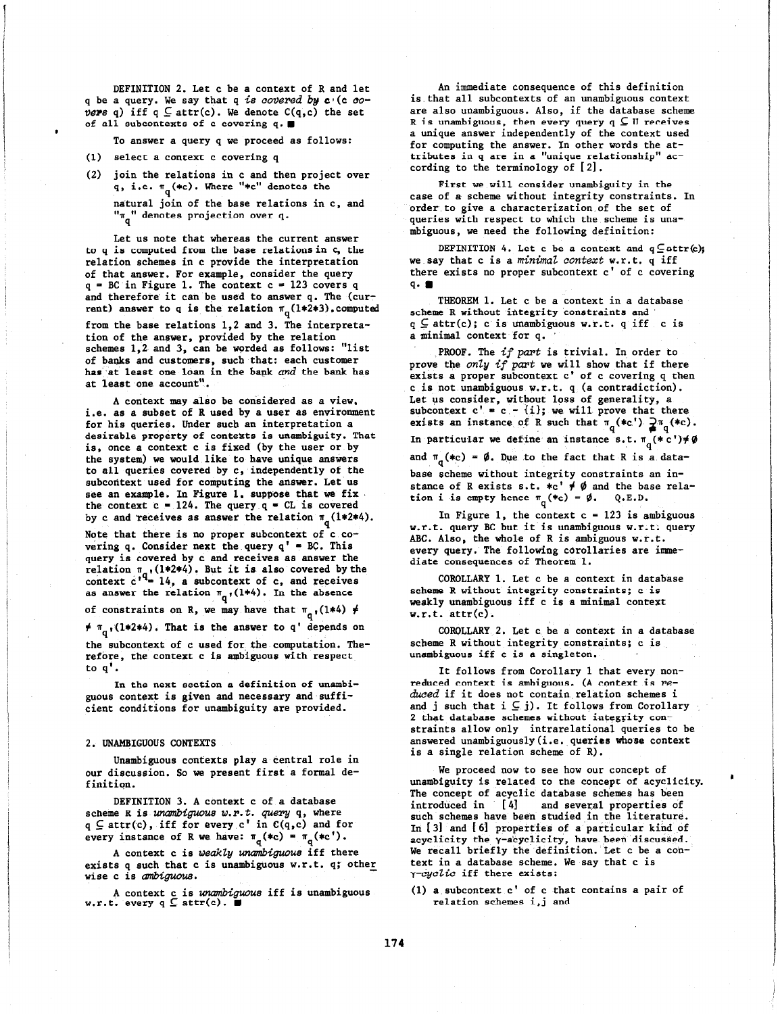DEFINITION 2. Let c be a context of R and let q be a query. We say that q is covered by  $c'(c'')$ vers q) iff  $q \subseteq \text{attr}(c)$ . We denote  $C(q, c)$  the set of all subcontexts of c covering  $q.$ 

To answer a query q we proceed as follows:

- (1) select a context c covering q
- (2) join the relations in c and then project over q, i.e.  $\pi_q$  (\*c). Where "\*c" denotes the

natural join of the base relations in c, and  $\mathbf{u}_\mathbf{q}$ " denotes projection over q.

Let us note that whereas the current answer to q is computed from the base relationsin c, the relation schemes in c provide the interpretation of that answer. For example, consider the query  $q = BC$  in Figure 1. The context  $c = 123$  covers q and therefore it can be used to answer q. The (current) answer to q is the relation  $\pi_q(1*2*3)$ , computed from the base relations 1,2 and 3. The interpretation of the answer, provided by the relation schemes 1,2 and 3, can be worded as follows: "list of banks and customers, such that: each customer has at least one loan in the bank and the bank has at least one account".

A context may also be considered as a view, i.e. as a subset of R used by a user as environment for his queries. Under such an interpretation a desirable property of contexts is unambiguity. That is, once a context c is fixed (by the user or by the system) we would like to have unique answers to all queries covered by c, independently of the subcontext used for computing the answer. Let us see an example. In Figure 1, suppose that we fix. the context  $c = 124$ . The query  $q = CL$  is covered by c and receives as answer the relation  $\pi_q$  (1\*2\*4).

Note that there is no proper subcontext of c covering q. Consider next the query  $q' = BC$ . This query is covered by c and receives as answer the relation  $\pi$  ,(1\*2\*4). But it is also covered by th context  $c^{\tau}=14$ , a subcontext of  $c$ , and receiv as answer the relation  $\pi_q$ , (1\*4). In the absence

of constraints on R, we may have that  $\pi_{q}$ , (1\*4)  $\neq$  $\neq \pi_{q}$ ,(1\*2\*4). That is the answer to q' depends on the subcontext of c used for the computation. Therefore, the context c is ambiguous with respect to 9'.

In the next section a definition of unambiguous context is given and necessary and sufficient conditions for unambiguity are provided.

#### 2. UWAMBIGUOUS CONTEXTS

Unambiguous contexts play a central role in our discussion. So we present first a formal definition.

DEFINITION 3. A context c of a database scheme R is unambiguous  $w.r.t.$  query  $q$ , where  $q \subseteq$  attr(c), iff for every c' in  $C(q,c)$  and for every instance of R we have:  $\pi_q$ (\*c) =  $\pi_q$ (\*c').

A context c is weakly unambiguous iff there exists q such that c is unambiguous w.r.t. q; other wise c is *ambiguou*s.

A context c is unambiguous iff is unambiguous.<br>w.r.t. every  $q \subseteq \text{attr}(c)$ .

An immediate consequence of this definition is.that all subcontexts of an unambiguous context are also unambiguous. Also, if the database scheme R is unambiguous, then every query  $q \subseteq U$  receives a unique answer independently of the context used for computing the answer. In other words the attributes in q are in a "unique relationship" according to the terminology of [2].

First we will consider unambiguity in the case of a scheme without integrity constraints. In order to give a characterization of the set of queries with respect to which the scheme is unambiguous, we need the following definition:

DEFINITION 4. Let c be a context and  $q\subseteq$  attr(c); we say that c is a minimal context w.r.t. q iff there exists no proper subcontext c' of c covering 9. n

THEOREM 1. Let c be a context in a database scheme R without integrity constraints and  $q \subseteq$  attr(c); c is unambiguous w.r.t. q iff c is a minimal context for q. \*

PROOF. The *if part* is trivial. In order to prove the only if part we will show that if there exists a proper subcontext c' of c covering q then c is not unambiguous w.r.t.  $q_{\perp}$  (a contradiction). Let us consider, without loss of generality, a subcontext c' = c - {i}; we will prove that ther exists an instance of R such that  $\pi_q(*c') \geq \pi_q(*c)$ . In particular we define an instance s.t.  $\pi_{q}(*c') \neq \emptyset$ and  $\pi_{q}(*c) = \emptyset$ . Due to the fact that R is a database scheme without integrity constraints an instance of R exists s.t.  $\ast$ c'  $\neq$   $\emptyset$  and the base rel tion i is empty hence  $\pi_{a}(*c) = \emptyset$ . Q.E.D.

In Figure 1, the context  $c = 123$  is ambiguous w.r.t. query BC but it is unambiguous w.r.t; query ABC. Also, the whole of R is ambiguous w.r.t. every query. The following corollaries are immediate consequences of Theorem 1.

COROLLARY 1. Let c be a context in database scheme R without integrity constraints; c is weakly unambiguous iff c is a minimal context w.r.t. attr(c).

COROLLARY 2. Let c be a context in a database scheme R without integrity constraints; c is unambiguous iff c is a singleton.

It follows from Corollary 1 that every nonreduced context is ambiguous. (A context is reduced if it does not contain relation schemes i and j such that  $i \subseteq j$ . It follows from Corollary 2 that database schemes without integrity constraints allow only intrarelational queries to be answered unambiguously(i.e. queries whose context is a single relation scheme of R).

We proceed now to see how our concept of unambiguity is related to the concept of acyclicity. The concept of acyclic database schemes has been<br>introduced in [4] and several properties of and several properties of such schemes have been studied in the literature. In  $[3]$  and  $[6]$  properties of a particular kind of acyclicity the y-acyclicity, have been discussed. We recall briefly the definition. Let c be a context in a database scheme. We say that c is  $\gamma$ -cyclic iff there exists:

(1) a subcontext  $c'$  of  $c$  that contains a pair of relation schemes i,j and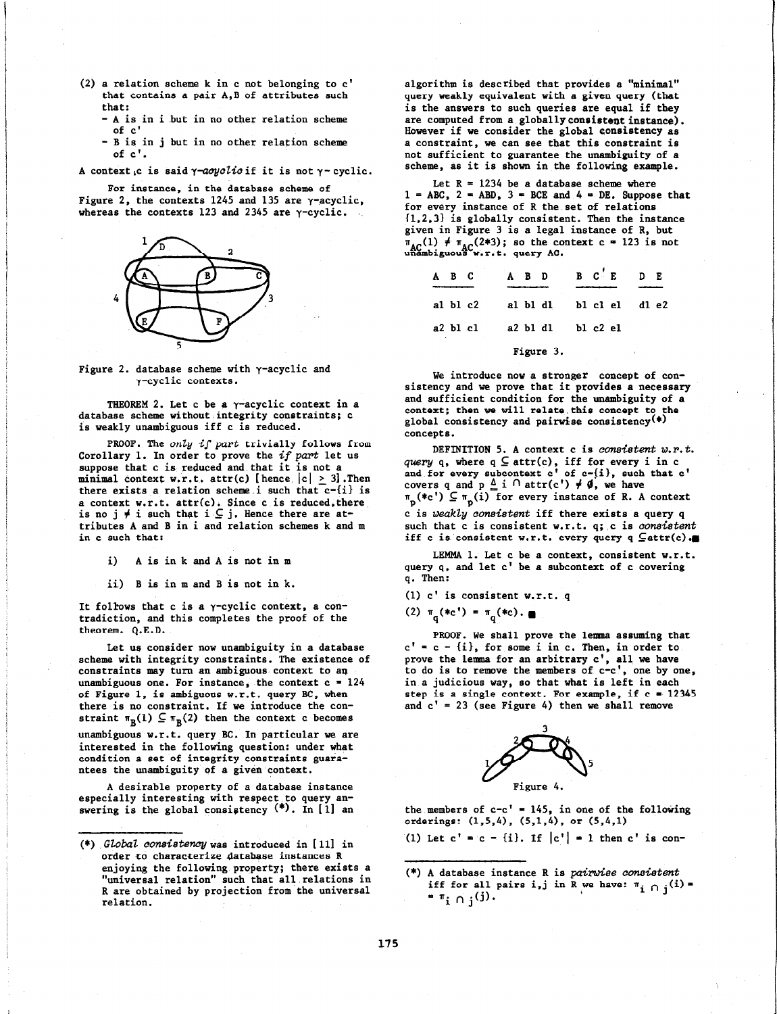- (2) a relation scheme k in c not belonging to c' that contains a pair A,B of attributes such that:
	- A is in i but in no other relation scheme of c'
	- B is in j but in no other relation scheme of c'.

A context c is said  $\gamma$ -acyclicif it is not  $\gamma$ -cyclic.

For instance, in the database scheme of Figure 2, the contexts 1245 and 135 are  $\gamma$ -acyclic, whereas the contexts 123 and 2345 are  $\gamma$ -cyclic.



Figure 2. database scheme with  $\gamma$ -acyclic and y-cyclic contexts.

THEOREM 2. Let  $c$  be a  $\gamma$ -acyclic context in a database scheme without integrity constraints; c is weakly unambiguous iff c is reduced.

PROOF. The only if part trivially follows from Corollary 1. In order to prove the  $if$  part let us suppose that c is reduced and that it is not a minimal context w.r.t. attr(c) [hence  $|c| > 3$ ]. Then there exists a relation scheme i such that  $c$ - $\{i\}$  is a context w.r.t.  $attr(c)$ . Since c is reduced, the is no j  $\neq$  i such that i  $\subseteq$  j. Hence there are at tributes A and B in i and relation schemes k and m in c such that:

i) A is in k and A is not in m

ii) B is in m and B is not in k.

It follows that c is a  $\gamma$ -cyclic context, a contradiction, and this completes the proof of the theorem. Q.E.D.

Let us consider now unambiguity in a database scheme with integrity constraints. The existence of constraints may turn an ambiguous context to an unambiguous one. For instance, the context  $c = 124$ of Figure 1, is ambiguous w.r.t. query BC, when there is no constraint. If we introduce the constraint  $\pi_B(1) \subseteq \pi_B(2)$  then the context c becomes unambiguous w.r.t. query BC. In particular we are interested in the following question: under what condition a set of integrity constraints guarantees the unambiguity of a given context.

A desirable property of a database instance especially interesting with respect to query answering is the global consistency  $(*)$ . In [1] an algorithm is described that provides a "minimal" query weakly equivalent with a given query (that is the answers to such queries are equal if they are computed from a globallyconsistent instance). However if we consider the global consistency as a constraint, we can see that this constraint is not sufficient to guarantee the unambiguity of a scheme, as it is shown in the following example.

Let  $R = 1234$  be a database scheme where  $1 = ABC$ ,  $2 = ABD$ ,  $3 = BCE$  and  $4 = DE$ . Suppose that for every instance of R the set of relations (1,2,3) is globally consistent. Then the instance given in Figure 3 is a legal instance of R, but  $\pi_{\text{AC}}(1)$   $\neq$   $\pi_{\text{AC}}(2*3)$ ; so the context c = 123 is not unambiguous w.r.t. query AC.

| $A$ $B$ $C$ |            |  |           | $A$ B D B $C$ E D E |  |
|-------------|------------|--|-----------|---------------------|--|
|             | al $b1 c2$ |  |           | albldl blclel dle2  |  |
|             | a2 b1 c1   |  |           | a2 b1 d1 b1 c2 e1   |  |
|             |            |  | Figure 3. |                     |  |

We introduce now a stronger concept of consistency and we prove that it provides a necessary and sufficient condition for the unambiguity of a context; then we will relate this concept to the global consistency and pairwise consistency(\*) concepts.

DEFINITION 5. A context c is consistent  $w.r.t.$ *query* q, where  $q \subseteq$  attr(c), iff for every i in c and for every subcontext  $c'$  of  $c-[i]$ , such that  $c'$ covers q and p  $\triangle$  i  $\cap$  attr(c')  $\neq$   $\emptyset$ , we have  $\texttt{\texttt{m}}_{\texttt{m}}(\texttt{\texttt{*c}}^{\texttt{t}})$   $\subsetq \texttt{\texttt{m}}_{\texttt{m}}(\texttt{i})$  for every instance of R. A contex c is weakly consistent iff there exists a query q such that c is consistent w.r.t. q; c is consistent iff c is consistent w.r.t. every query  $q \nsubseteq \text{attr}(c)$ .

LEMMA 1. Let c be a context, consistent w.r.t. query q, and let c' be a subcontext of c covering q. Then:

(1) c' is consistent w.r.t. q

(2)  $\pi_{q}(*c') = \pi_{q}(*c) \cdot \blacksquare$ 

PROOF. We shall prove the lemma assuming that  $c' = c - \{i\}$ , for some i in c. Then, in order to prove the lemma for an arbitrary  $c'$ , all we have to do is to remove the members of c-c', one by one, in a judicious way, so that what is left in each step is a single context. For example, if  $c = 12345$ and  $c' = 23$  (see Figure 4) then we shall remove



the members of  $c-c' = 145$ , in one of the following orderings: (1,5,4), (5,1,4), or (5,4,1)

(1) Let  $c' = c - \{i\}$ . If  $|c'| = 1$  then c' is con-

(\*) A database instance R is pairwise consistent iff for all pairs i,j in R we have:  $\pi_i \cap j$  $= \pi_i \cap i^{(j)}$ .

<sup>(\*)</sup> G20baZ Consistencywas introduced in [ll] in order to characterize database instances R enjoying the following property; there exists a "universal relation" such that all.relations in R are obtained by projection from the universal relation.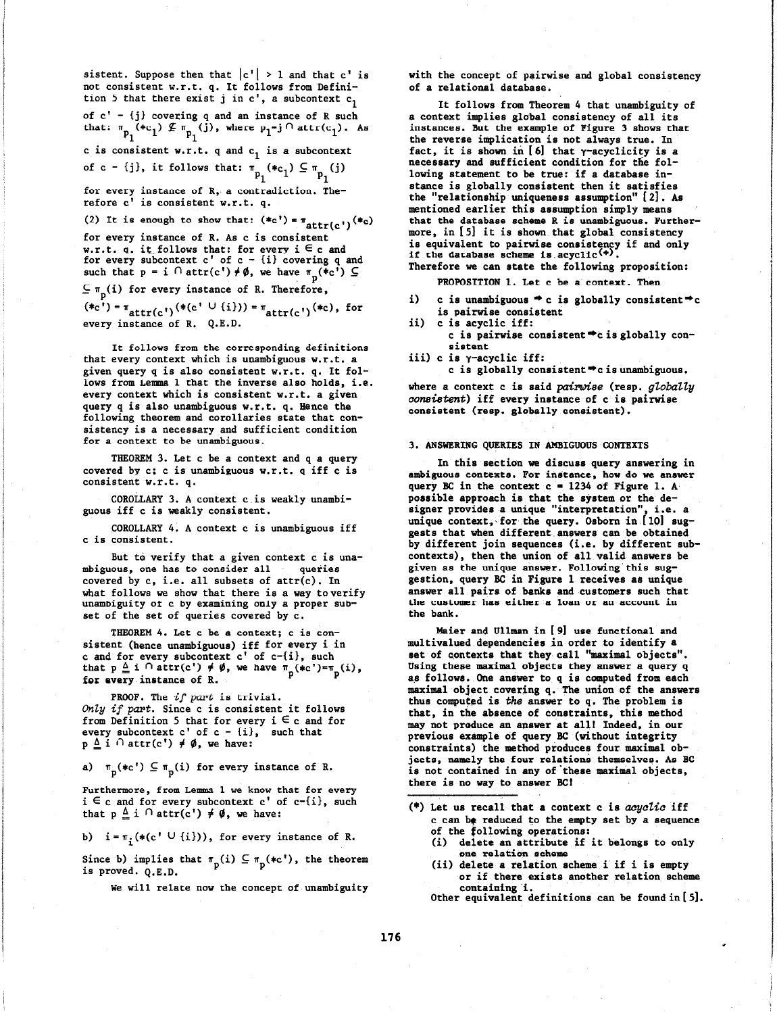sistent. Suppose then that  $|c'| > 1$  and that  $c'$  is not consistent w.r.t. q. It follows from Definition 5 that there exist j in  $c'$ , a subcontext  $c_1$ of c' - {j) covering q and an instance of R such that:  $\pi_{n}$  (\*c<sub>1</sub>)  $\mathcal{L}$   $\pi_{n}$  (j), where  $p_{1} = j \cap \text{attr}(c_{1})$ . As  $r_1$  p<sub>1</sub> c is consistent w.r.t. q and  $c_1$  is a subcontext of c - {j}, it follows that:  $\pi$  (\*c,)  $\subseteq$   $\pi$  (j 1 for every instance of R, a contradiction. Therefore c' is consistent w.r.t. q. (2) It is enough to show that:  $(*c') = \pi_{attr(c')}(*_c)$ for every instance of R. As c is consistent w.r.t. q, it follows that: for every  $i \in c$  and for every subcontext  $c'$  of  $c - \{i\}$  covering q and such that  $p = i \cap \text{attr}(c') \neq \emptyset$ , we have  $\pi_p(*c') \subseteq$  $\subseteq \pi_n(i)$  for every instance of R. Therefore,

 $(*c') = \pi_{attr(c')}(*(c' \cup \{i\})) = \pi_{attr(c')}(*(c), \text{for})$ every instance of R. Q.E.D.

It follows from the corresponding definitions that every context which is unambiguous w.r.t. a given query q is also consistent w.r.t. q. It follows from Lemma 1 that the inverse also holds, i.e. every context which is consistent w.r.t. a given query q is also unambiguous w.r.t. q. Hence the following theorem and corollaries state that consistency is a necessary and sufficient condition for a context to be unambiguous.

THEOREM 3. Let c be a context and q a query covered by c; c is unambiguous w.r.t. q iff c is consistent w.r.t. q.

COROLLARY 3. A context c is weakly unambiguous iff c is weakly consistent.

COROLLARY 4. A context c is unambiguous iff c is consistent.

But to verify that a given context c is unambiguous, one has to consider all queries covered by c, i.e. all subsets of attr(c). In what follows we show that there is a way to verify unambiguity of c by examining only a proper subset of the set of queries covered by c.

THEOREM 4. Let c be a context; c is consistent (hence unambiguous) iff for every i in c and for every subcontext c' of c-(i), such that  $p \stackrel{\Delta}{=} i \bigcap \text{attr}(c') \neq \emptyset$ , we have  $\pi_{p}(\ast c') = \pi_{p}(i)$ , for every instance of R.

PROOF. The *if part* is trivial. Only if part. Since  $c$  is consistent it follows from Definition 5 that for every  $i \in c$  and for every subcontext c' of  $c - i$ ), such that  $p \triangleq i \cap \text{attr}(c') \neq \emptyset$ , we have:

a)  $\pi_{p}(*c') \subseteq \pi_{p}(i)$  for every instance of R.

Furthermore, from Lemma 1 we know that for every  $i \in c$  and for every subcontext  $c'$  of  $c$ - $\{i\}$ , such that  $p \leq i \cap \text{attr}(c') \neq \emptyset$ , we have:

b)  $i = \pi_i(*(c' \cup \{i\})),$  for every instance of R.

Since b) implies that  $\pi_p(i) \subseteq \pi_p(*c')$ , the theorem is proved. Q.E.D.

We will relate now the concept of unambiguity

with the concept of pairwise and global consistency of a relational database.

It follows from Theorem 4 that unambiguity of a context implies global consistency of all its instances. But the example of Figure 3 shows that the reverse implication is not always true. In fact, it is shown in  $[6]$  that  $\gamma$ -acyclicity is a necessary and sufficient condition for the following statement to be true: if a database instance is globally consistent then it satisfies the "relationship uniqueness assumption" [2]. As mentioned earlier this assumption simply means that the database scheme R is unambiguous. Furthermore, in [5] it is shown that global consistency is equivalent to pairwise consistency if and only if the database scheme is acycli Therefore we can state the following proposition:

PROPOSITION 1. Let c be a contaxt. Then

- i) c is unambiguous  $\Rightarrow$  c is globally consistent  $\Rightarrow$  c is pairwise consistent
- ii) c is acyclic iff: c is pairwise consistent\*cis globally consistent
- iii) c is y-acyclic iff:

c is globally consistent  $\Rightarrow$  c is unambiguous.

where a context c is said pairwise (resp. globally consistent) iff every instance of c is pairwise consistent (resp. globally consistent).

#### 3. ANSWERING QUERIES IN AMBIGUOUS CONTEXTS

In this section we discuss query answering in ambiguous contexts. For instance, how do we answer query BC in the context  $c = 1234$  of Figure 1. A possible approach is that the system or the designer provides .a unique "interpretation", i.e. a unique context, for the query. Osborn in [10] suggests that when different answers can be obtained by different join sequences (i.e. by different subcontexts), then the union of all valid answers be given as the unique answer. Following this suggestion, query BC in Figure 1 receives as unique answer all pairs of banks and customers such that the customer has either a loan or an account in the bank.

Maier and Ullman in [9] use functional and multivalued dependencies in order to identify a set of contexts that they call "maximal objects". Using these maximal objects they answer a query q as follows. One answer to q is computed from each maximal object covering q. The union of the answers thus computed is the answer to q. The problem is that, in the absence of constraints, this method may not produce an apswer at all! Indeed, in our previous example of query BC (without integrity constraints) the method produces four maximal objects, namely the four relations themselves. As BC is not contained in any of these maximal objects, there is no way to answer BCI

- (\*) Let us recall that a context c is acyclic iff c can be reduced to the empty set by a sequence of the following operations:
	- (i) delete an attribute if it belongs to only one relation scheme
	- (ii) delete a relation scheme i if i is empty or if there exists another relation scheme

.

containing i.<br>Other equivalent definitions can be foundin